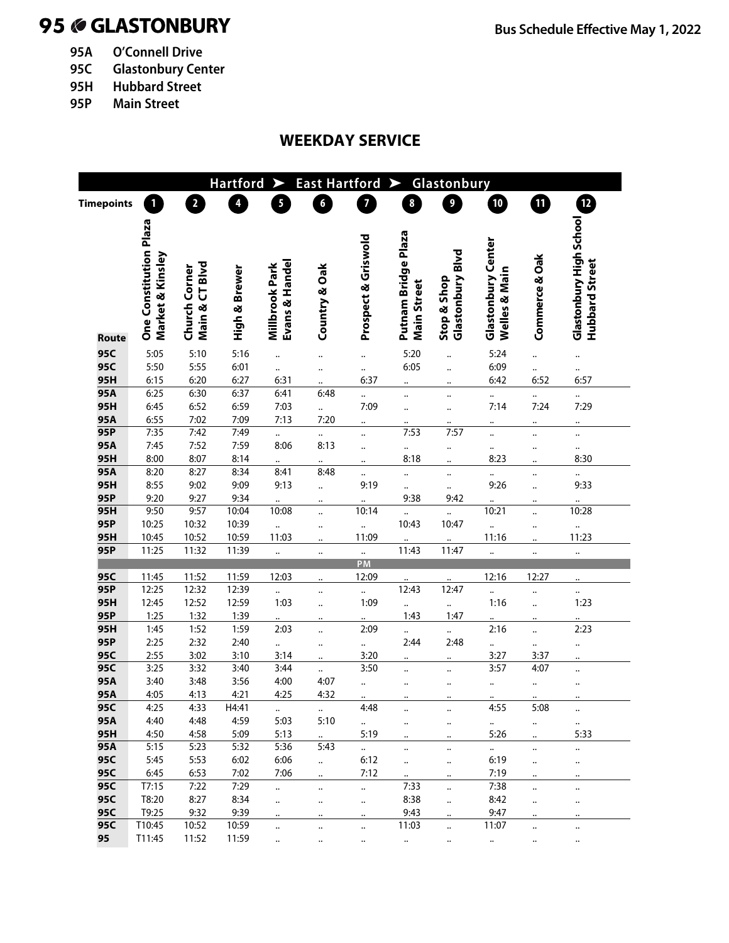# 95 **GLASTONBURY Bus Schedule Effective May 1, 2022**

- **95A O'Connell Drive**
- **95C Glastonbury Center**
- **95H Hubbard Street**
- **95P Main Street**

## **WEEKDAY SERVICE**

|                   |                                            |                                 | <b>Hartford</b> | ➤                                | <b>East Hartford</b> |                         | ➤                                         | Glastonbury                     |                                            |                |                                           |  |
|-------------------|--------------------------------------------|---------------------------------|-----------------|----------------------------------|----------------------|-------------------------|-------------------------------------------|---------------------------------|--------------------------------------------|----------------|-------------------------------------------|--|
| <b>Timepoints</b> | 1                                          | $\overline{\mathbf{2}}$         | 4               | 5                                | $\boldsymbol{6}$     | $\overline{\mathbf{z}}$ | $\boldsymbol{8}$                          | 9                               | <u>10</u>                                  | ❶              | Ø                                         |  |
| Route             | One Constitution Plaza<br>Market & Kinsley | Main & CT Blvd<br>Church Corner | High & Brewer   | Evans & Handel<br>Millbrook Park | Country & Oak        | Prospect & Griswold     | Putnam Bridge Plaza<br><b>Main Street</b> | Glastonbury Blvd<br>Stop & Shop | <b>Glastonbury Center</b><br>Welles & Main | Commerce & Oak | Glastonbury High School<br>Hubbard Street |  |
| 95C               | 5:05                                       | 5:10                            | 5:16            |                                  |                      |                         | 5:20                                      |                                 | 5:24                                       |                |                                           |  |
| 95C               | 5:50                                       | 5:55                            | 6:01            |                                  |                      |                         | 6:05                                      |                                 | 6:09                                       |                |                                           |  |
| 95H               | 6:15                                       | 6:20                            | 6:27            | 6:31                             |                      | 6:37                    |                                           |                                 | 6:42                                       | 6:52           | 6:57                                      |  |
| 95A               | 6:25                                       | 6:30                            | 6:37            | 6:41                             | 6:48                 | $\ddotsc$               | $\ddotsc$                                 |                                 |                                            |                |                                           |  |
| 95H               | 6:45                                       | 6:52                            | 6:59            | 7:03                             |                      | 7:09                    | $\ddotsc$                                 | $\ddot{\phantom{a}}$            | 7:14                                       | 7:24           | 7:29                                      |  |
| 95A               | 6:55                                       | 7:02                            | 7:09            | 7:13                             | 7:20                 |                         |                                           |                                 |                                            |                |                                           |  |
| 95P               | 7:35                                       | 7:42                            | 7:49            |                                  |                      | $\ddotsc$               | 7:53                                      | 7:57                            |                                            |                |                                           |  |
| 95A               | 7:45                                       | 7:52                            | 7:59            | 8:06                             | 8:13                 |                         |                                           | $\ddotsc$                       |                                            |                | $\ddot{\phantom{0}}$                      |  |
| 95H               | 8:00                                       | 8:07                            | 8:14            |                                  |                      |                         | 8:18                                      |                                 | 8:23                                       |                | 8:30                                      |  |
| 95A               | 8:20                                       | 8:27                            | 8:34            | 8:41                             | 8:48                 |                         |                                           | $\ddotsc$                       |                                            |                |                                           |  |
| 95H               | 8:55                                       | 9:02                            | 9:09            | 9:13                             |                      | 9:19                    | $\ldots$                                  | $\ddotsc$                       | 9:26                                       |                | 9:33                                      |  |
| 95P               | 9:20                                       | 9:27                            | 9:34            |                                  |                      |                         | 9:38                                      | 9:42                            |                                            |                |                                           |  |
| 95H               | 9:50                                       | 9:57                            | 10:04           | 10:08                            |                      | 10:14                   |                                           |                                 | 10:21                                      |                | 10:28                                     |  |
| 95P               | 10:25                                      | 10:32                           | 10:39           |                                  |                      |                         | 10:43                                     | 10:47                           |                                            |                | $\ldots$                                  |  |
| 95H               | 10:45                                      | 10:52                           | 10:59           | 11:03                            |                      | 11:09                   |                                           |                                 | 11:16                                      |                | 11:23                                     |  |
| 95P               | 11:25                                      | 11:32                           | 11:39           |                                  |                      | $\ldots$<br>PM          | 11:43                                     | 11:47                           |                                            |                |                                           |  |
| 95C               | 11:45                                      | 11:52                           | 11:59           | 12:03                            |                      | 12:09                   |                                           |                                 | 12:16                                      | 12:27          |                                           |  |
| 95P               | 12:25                                      | 12:32                           | 12:39           |                                  |                      | $\ddot{\phantom{0}}$    | 12:43                                     | 12:47                           |                                            |                |                                           |  |
| 95H               | 12:45                                      | 12:52                           | 12:59           | 1:03                             |                      | 1:09                    |                                           |                                 | 1:16                                       |                | 1:23                                      |  |
| 95P               | 1:25                                       | 1:32                            | <u>1:39</u>     |                                  |                      |                         | 1:43                                      | 1:47                            |                                            |                |                                           |  |
| 95H               | 1:45                                       | 1:52                            | 1:59            | 2:03                             |                      | 2:09                    |                                           | $\ldots$                        | 2:16                                       |                | 2:23                                      |  |
| 95P               | 2:25                                       | 2:32                            | 2:40            | $\ddot{\phantom{0}}$             |                      | $\ldots$                | 2:44                                      | 2:48                            |                                            |                |                                           |  |
| 95C               | 2:55                                       | 3:02                            | 3:10            | 3:14                             |                      | 3:20                    |                                           |                                 | 3:27                                       | 3:37           |                                           |  |
| 95C               | 3:25                                       | 3:32                            | 3:40            | 3:44                             |                      | 3:50                    |                                           |                                 | 3:57                                       | 4:07           |                                           |  |
| 95A               | 3:40                                       | 3:48                            | 3:56            | 4:00                             | 4:07                 | $\ddotsc$               |                                           |                                 |                                            |                |                                           |  |
| 95A               | 4:05                                       | 4:13                            | 4:21            | 4:25                             | 4:32                 |                         |                                           |                                 |                                            |                |                                           |  |
| 95C               | 4:25                                       | 4:33                            | H4:41           | $\cdots$                         | $\cdots$             | 4:48                    |                                           |                                 | 4:55                                       | 5:08           | $\ddotsc$                                 |  |
| 95A               | 4:40                                       | 4:48                            | 4:59            | 5:03                             | 5:10                 | $\ddotsc$               | $\ddotsc$                                 |                                 | $\cdots$                                   |                |                                           |  |
| 95H               | 4:50                                       | 4:58                            | 5:09            | 5:13                             |                      | 5:19                    | $\ddot{\phantom{a}}$                      | $\ddotsc$                       | 5:26                                       |                | 5:33                                      |  |
| 95A               | 5:15                                       | 5:23                            | 5:32            | 5:36                             | 5:43                 | $\ddot{\phantom{0}}$    | $\ddotsc$                                 | $\ddotsc$                       | $\cdots$                                   |                |                                           |  |
| 95C               | 5:45                                       | 5:53                            | 6:02            | 6:06                             |                      | 6:12                    | $\ddotsc$                                 | $\ddotsc$                       | 6:19                                       |                |                                           |  |
| 95C               | 6:45                                       | 6:53                            | 7:02            | 7:06                             |                      | 7:12                    | $\ddot{\phantom{a}}$                      | $\ddotsc$                       | 7:19                                       |                |                                           |  |
| 95C               | T7:15                                      | 7:22                            | 7:29            | $\ddotsc$                        |                      | $\ldots$                | 7:33                                      | $\ddotsc$                       | 7:38                                       |                | $\ddotsc$                                 |  |
| 95C               | T8:20                                      | 8:27                            | 8:34            |                                  |                      | $\ldots$                | 8:38                                      | $\ddotsc$                       | 8:42                                       |                | $\ddotsc$                                 |  |
| 95C               | T9:25                                      | 9:32                            | 9:39            |                                  |                      | $\ddotsc$               | 9:43                                      | $\ddotsc$                       | 9:47                                       |                |                                           |  |
| 95C               | T10:45                                     | 10:52                           | 10:59           |                                  |                      | $\ddotsc$               | 11:03                                     | $\ddot{\phantom{a}}$            | 11:07                                      |                |                                           |  |
| 95                | T11:45                                     | 11:52                           | 11:59           | $\ddotsc$                        | $\ddotsc$            | $\ddotsc$               | $\ddotsc$                                 | $\ddotsc$                       | $\ddotsc$                                  | $\ddotsc$      | $\ddotsc$                                 |  |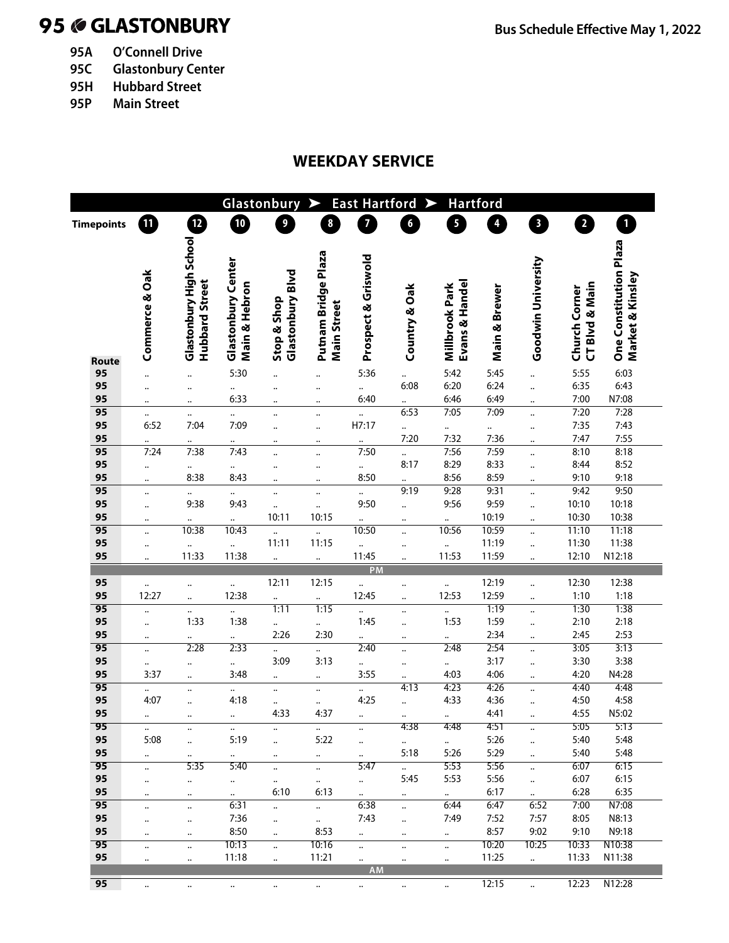# **GLASTONBURY Bus Schedule Effective May 1, 2022**

- **95A O'Connell Drive**
- **95C Glastonbury Center**
- **95H Hubbard Street**
- **95P Main Street**

## **WEEKDAY SERVICE**

| <b>East Hartford</b><br><b>Hartford</b><br>Glastonbury<br>➤ |                      |                                           |                                            |                                 |                                           |                               |                              |                                  |                         |                              |                                 |                                            |
|-------------------------------------------------------------|----------------------|-------------------------------------------|--------------------------------------------|---------------------------------|-------------------------------------------|-------------------------------|------------------------------|----------------------------------|-------------------------|------------------------------|---------------------------------|--------------------------------------------|
| <b>Timepoints</b>                                           | 10)                  | $\mathbf{E}$                              | 10                                         | $\overline{9}$                  | $\pmb{8}$                                 | $\overline{7}$                | $\boldsymbol{6}$             | 5                                | $\overline{\mathbf{4}}$ | $\overline{\mathbf{3}}$      | $\overline{2}$                  | $\mathbf{1}$                               |
|                                                             |                      |                                           |                                            |                                 |                                           |                               |                              |                                  |                         |                              |                                 |                                            |
|                                                             | Commerce & Oak       | Glastonbury High School<br>Hubbard Street | <b>Glastonbury Center</b><br>Main & Hebron | Glastonbury Blvd<br>Stop & Shop | Putnam Bridge Plaza<br><b>Main Street</b> | Prospect & Griswold           | Country & Oak                | Evans & Handel<br>Millbrook Park | Main & Brewer           | Goodwin University           | CT Blvd & Main<br>Church Corner | One Constitution Plaza<br>Market & Kinsley |
| Route<br>95                                                 |                      |                                           | 5:30                                       |                                 |                                           | 5:36                          |                              | 5:42                             | 5:45                    |                              | 5:55                            | 6:03                                       |
| 95                                                          |                      | $\ddotsc$                                 |                                            |                                 |                                           |                               | <br>6:08                     | 6:20                             | 6:24                    | $\ddot{\cdot}$               | 6:35                            | 6:43                                       |
| 95                                                          |                      | ٠.                                        | $\ddotsc$<br>6:33                          |                                 | $\ddotsc$                                 | <br>6:40                      |                              | 6:46                             | 6:49                    | $\ddotsc$                    | 7:00                            | N7:08                                      |
| 95                                                          | $\ddotsc$            |                                           |                                            | $\ddotsc$                       | $\ddotsc$                                 |                               | 6:53                         | 7:05                             | 7:09                    | $\ddotsc$                    | 7:20                            | 7:28                                       |
| 95                                                          | $\ldots$<br>6:52     | $\ddotsc$<br>7:04                         | <br>7:09                                   |                                 | $\ddotsc$                                 | H7:17                         |                              |                                  |                         | $\ddotsc$                    | 7:35                            | 7:43                                       |
| 95                                                          |                      |                                           |                                            |                                 | $\ddotsc$                                 |                               | 7:20                         | $\ddotsc$<br>7:32                | $\ddotsc$<br>7:36       | $\ddotsc$                    | 7:47                            | 7:55                                       |
| 95                                                          | $\ddotsc$<br>7:24    | <br>7:38                                  | <br>7:43                                   | <br>                            | $\ddotsc$<br>$\ddotsc$                    | $\ddotsc$<br>7:50             |                              | 7:56                             | 7:59                    | $\ddotsc$<br>                | 8:10                            | 8:18                                       |
| 95                                                          |                      |                                           |                                            |                                 |                                           |                               | 8:17                         | 8:29                             | 8:33                    |                              | 8:44                            | 8:52                                       |
| 95                                                          |                      | $\ddotsc$<br>8:38                         | $\ddotsc$<br>8:43                          |                                 | $\ddotsc$                                 | $\ldots$<br>8:50              |                              | 8:56                             | 8:59                    |                              | 9:10                            | 9:18                                       |
| 95                                                          | $\ddotsc$            |                                           |                                            |                                 | $\ddot{\phantom{a}}$                      |                               | <br>9:19                     | 9:28                             | 9:31                    | $\ddotsc$                    | 9:42                            | 9:50                                       |
| 95                                                          |                      | $\ddotsc$<br>9:38                         | $\ddot{\phantom{0}}$<br>9:43               |                                 |                                           | <br>9:50                      |                              | 9:56                             | 9:59                    |                              | 10:10                           | 10:18                                      |
| 95                                                          |                      |                                           |                                            | <br>10:11                       | $\ddotsc$<br>10:15                        |                               |                              |                                  | 10:19                   | $\ddotsc$                    | 10:30                           | 10:38                                      |
| $\overline{95}$                                             | $\ddotsc$            | $\ddotsc$<br>10:38                        | $\ddotsc$<br>10:43                         |                                 | $\ddotsc$                                 | $\ddot{\phantom{a}}$<br>10:50 |                              | $\ddot{\phantom{a}}$<br>10:56    | 10:59                   | $\ddotsc$                    | 11:10                           | 11:18                                      |
| 95                                                          |                      |                                           |                                            | <br>11:11                       | 11:15                                     |                               |                              |                                  | 11:19                   |                              | 11:30                           | 11:38                                      |
| 95                                                          | $\ddot{\phantom{a}}$ | $\ddotsc$<br>11:33                        | $\ldots$<br>11:38                          |                                 | $\ddot{\phantom{a}}$                      | $\ldots$<br>11:45             |                              | $\ddot{\phantom{a}}$<br>11:53    | 11:59                   | $\ddotsc$                    | 12:10                           | N12:18                                     |
|                                                             |                      |                                           |                                            | $\ddot{\phantom{a}}$            |                                           | PM                            |                              |                                  |                         | $\ddotsc$                    |                                 |                                            |
| 95                                                          |                      |                                           | $\ddotsc$                                  | 12:11                           | 12:15                                     | $\ldots$                      |                              | $\ldots$                         | 12:19                   |                              | 12:30                           | 12:38                                      |
| 95                                                          | $\ddotsc$<br>12:27   | <br>                                      | 12:38                                      | $\ddotsc$                       |                                           | 12:45                         | <br>                         | 12:53                            | 12:59                   | $\ddotsc$                    | 1:10                            | 1:18                                       |
| $\overline{95}$                                             |                      |                                           | $\ddotsc$                                  | 1:11                            | 1:15                                      | $\ddotsc$                     | $\ddotsc$                    | $\ldots$                         | 1:19                    | $\ddotsc$                    | 1:30                            | 1:38                                       |
| 95                                                          | $\ddotsc$            | 1:33                                      | 1:38                                       |                                 | ä,                                        | 1:45                          |                              | 1:53                             | 1:59                    |                              | 2:10                            | 2:18                                       |
| 95                                                          |                      |                                           | $\ldots$                                   | 2:26                            | 2:30                                      | $\ddotsc$                     | $\ddotsc$                    | $\ldots$                         | 2:34                    |                              | 2:45                            | 2:53                                       |
| $\overline{95}$                                             | $\ddotsc$            | $\ddotsc$<br>2:28                         | 2:33                                       |                                 |                                           | 2:40                          | $\ddotsc$<br>                | 2:48                             | 2:54                    | $\ddotsc$                    | 3:05                            | 3:13                                       |
| 95                                                          |                      |                                           |                                            | <br>3:09                        | <br>3:13                                  |                               |                              |                                  | 3:17                    |                              | 3:30                            | 3:38                                       |
| 95                                                          | $\ddotsc$<br>3:37    |                                           | $\ddot{\phantom{0}}$<br>3:48               |                                 |                                           | $\ddotsc$<br>3:55             |                              | $\ddotsc$<br>4:03                | 4:06                    | $\ddotsc$                    | 4:20                            | N4:28                                      |
| 95                                                          | $\ddotsc$            | $\ddotsc$                                 |                                            | $\ddotsc$<br>                   | $\ddotsc$<br>                             | $\ldots$                      | <br>4:13                     | 4:23                             | 4:26                    | $\ddotsc$<br>$\ddotsc$       | 4:40                            | 4:48                                       |
| 95                                                          | 4:07                 |                                           | $\ddotsc$<br>4:18                          |                                 |                                           | 4:25                          |                              | 4:33                             | 4:36                    |                              | 4:50                            | 4:58                                       |
| 95                                                          |                      |                                           |                                            | <br>4:33                        | $\ddotsc$<br>4:37                         |                               |                              |                                  | 4:41                    |                              | 4:55                            | N5:02                                      |
| 95                                                          |                      |                                           |                                            |                                 |                                           |                               | <br>4:38                     | $\ldots$<br>4:48                 | 4:51                    | $\ddotsc$                    | 5:05                            | 5:13                                       |
| 95                                                          | $\ddotsc$<br>5:08    | $\ddotsc$                                 | $\ddot{\phantom{0}}$<br>5:19               | $\ddotsc$                       | $\ddot{\phantom{1}}$<br>5:22              | $\ddotsc$                     |                              |                                  | 5:26                    | $\ddotsc$                    | 5:40                            | 5:48                                       |
| 95                                                          |                      |                                           |                                            |                                 |                                           | $\ddotsc$                     | $\ddot{\phantom{0}}$<br>5:18 | $\ldots$<br>5:26                 | 5:29                    |                              | 5:40                            | 5:48                                       |
| 95                                                          | $\ddotsc$            | $\ddotsc$<br>5:35                         | $\ddotsc$<br>5:40                          | $\ddotsc$                       | $\ddotsc$                                 | $\ldots$<br>5:47              |                              | 5:53                             | 5:56                    | $\ddotsc$                    | 6:07                            | 6:15                                       |
| 95                                                          |                      |                                           |                                            | $\ddotsc$                       |                                           |                               | $\ddotsc$<br>5:45            | 5:53                             | 5:56                    | $\ldots$                     | 6:07                            | 6:15                                       |
| 95                                                          | $\ddotsc$            | $\ddot{\phantom{1}}$                      | $\ddotsc$                                  | $\ddotsc$<br>6:10               | $\ddotsc$<br>6:13                         | $\mathbf{a}^{\dagger}$        |                              |                                  | 6:17                    | $\ddotsc$                    | 6:28                            | 6:35                                       |
| $\overline{95}$                                             |                      | $\ddotsc$                                 | $\ddot{\phantom{1}}$<br>6:31               |                                 |                                           | $\mathbf{u}$<br>6:38          | $\cdots$                     | $\ddot{\phantom{1}}$<br>6:44     | 6:47                    | $\ddot{\phantom{1}}$<br>6:52 | 7:00                            | N7:08                                      |
| 95                                                          |                      | $\ldots$                                  | 7:36                                       |                                 | $\ldots$                                  | 7:43                          | $\ddotsc$                    | 7:49                             | 7:52                    | 7:57                         | 8:05                            | N8:13                                      |
| 95                                                          | $\ddotsc$            | $\ddotsc$                                 | 8:50                                       | $\ddotsc$                       | $\ddot{\phantom{a}}$<br>8:53              |                               | $\ddotsc$                    |                                  | 8:57                    | 9:02                         | 9:10                            | N9:18                                      |
| 95                                                          | $\ddotsc$            | $\ddotsc$                                 | 10:13                                      | $\ddotsc$                       | 10:16                                     | $\ddot{\phantom{a}}$          | $\ddotsc$                    | $\ddot{\phantom{1}}$             | 10:20                   | 10:25                        | 10:33                           | N10:38                                     |
|                                                             |                      | $\ddotsc$                                 |                                            |                                 |                                           | $\ldots$                      |                              | $\ldots$                         |                         |                              |                                 |                                            |
| 95                                                          | $\ddotsc$            | $\ddot{\phantom{1}}$                      | 11:18                                      | $\ldots$                        | 11:21                                     | $\ddotsc$<br>AM               | $\ddotsc$                    | $\ldots$                         | 11:25                   | $\ddot{\phantom{a}}$         | 11:33                           | N11:38                                     |
| 95                                                          | $\ddotsc$            | $\ddotsc$                                 | $\ddotsc$                                  | $\ddotsc$                       | $\ddot{\cdot}$                            | $\ddotsc$                     | $\ddot{\phantom{0}}$         | $\ddotsc$                        | 12:15                   | $\ddot{\cdot}$               | 12:23                           | N12:28                                     |